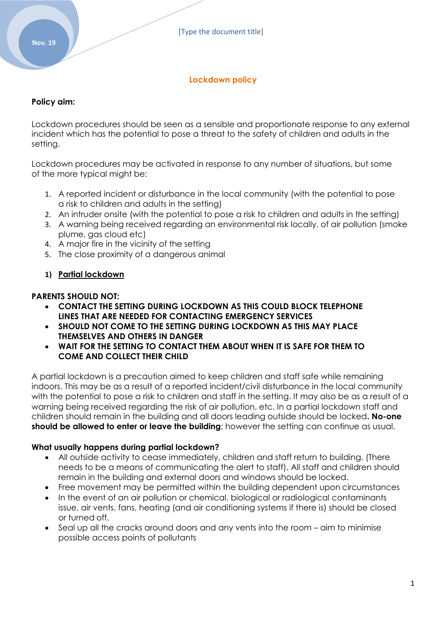# **Lockdown policy**

# **Policy aim:**

Lockdown procedures should be seen as a sensible and proportionate response to any external incident which has the potential to pose a threat to the safety of children and adults in the setting.

Lockdown procedures may be activated in response to any number of situations, but some of the more typical might be:

- 1. A reported incident or disturbance in the local community (with the potential to pose a risk to children and adults in the setting)
- 2. An intruder onsite (with the potential to pose a risk to children and adults in the setting)
- 3. A warning being received regarding an environmental risk locally, of air pollution (smoke plume, gas cloud etc)
- 4. A major fire in the vicinity of the setting
- 5. The close proximity of a dangerous animal

# **1) Partial lockdown**

# **PARENTS SHOULD NOT:**

- **CONTACT THE SETTING DURING LOCKDOWN AS THIS COULD BLOCK TELEPHONE LINES THAT ARE NEEDED FOR CONTACTING EMERGENCY SERVICES**
- **SHOULD NOT COME TO THE SETTING DURING LOCKDOWN AS THIS MAY PLACE THEMSELVES AND OTHERS IN DANGER**
- **WAIT FOR THE SETTING TO CONTACT THEM ABOUT WHEN IT IS SAFE FOR THEM TO COME AND COLLECT THEIR CHILD**

A partial lockdown is a precaution aimed to keep children and staff safe while remaining indoors. This may be as a result of a reported incident/civil disturbance in the local community with the potential to pose a risk to children and staff in the setting. It may also be as a result of a warning being received regarding the risk of air pollution, etc. In a partial lockdown staff and children should remain in the building and all doors leading outside should be locked**. No-one should be allowed to enter or leave the building**; however the setting can continue as usual.

# **What usually happens during partial lockdown?**

- All outside activity to cease immediately, children and staff return to building. (There needs to be a means of communicating the alert to staff). All staff and children should remain in the building and external doors and windows should be locked.
- Free movement may be permitted within the building dependent upon circumstances
- In the event of an air pollution or chemical, biological or radiological contaminants issue, air vents, fans, heating (and air conditioning systems if there is) should be closed or turned off.
- Seal up all the cracks around doors and any vents into the room aim to minimise possible access points of pollutants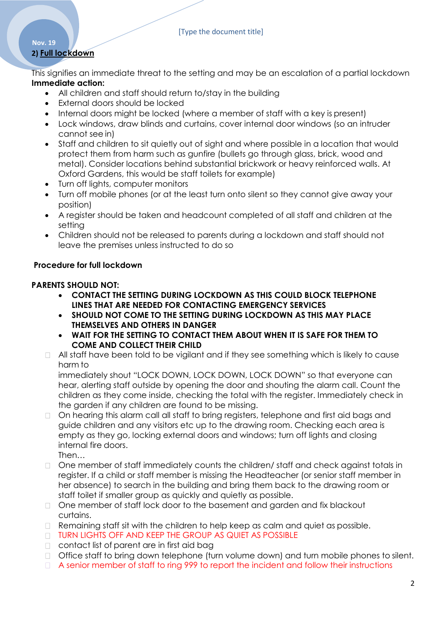### [Type the document title]

# **2) Full lockdown**

**Nov. 19**

This signifies an immediate threat to the setting and may be an escalation of a partial lockdown **Immediate action:**

- All children and staff should return to/stay in the building
- External doors should be locked
- Internal doors might be locked (where a member of staff with a key is present)
- Lock windows, draw blinds and curtains, cover internal door windows (so an intruder cannot see in)
- Staff and children to sit quietly out of sight and where possible in a location that would protect them from harm such as gunfire (bullets go through glass, brick, wood and metal). Consider locations behind substantial brickwork or heavy reinforced walls. At Oxford Gardens, this would be staff toilets for example)
- Turn off lights, computer monitors
- Turn off mobile phones (or at the least turn onto silent so they cannot give away your position)
- A register should be taken and headcount completed of all staff and children at the setting
- Children should not be released to parents during a lockdown and staff should not leave the premises unless instructed to do so

# **Procedure for full lockdown**

# **PARENTS SHOULD NOT:**

- **CONTACT THE SETTING DURING LOCKDOWN AS THIS COULD BLOCK TELEPHONE LINES THAT ARE NEEDED FOR CONTACTING EMERGENCY SERVICES**
- **SHOULD NOT COME TO THE SETTING DURING LOCKDOWN AS THIS MAY PLACE THEMSELVES AND OTHERS IN DANGER**
- **WAIT FOR THE SETTING TO CONTACT THEM ABOUT WHEN IT IS SAFE FOR THEM TO COME AND COLLECT THEIR CHILD**
- $\Box$  All staff have been told to be vigilant and if they see something which is likely to cause harm to

immediately shout "LOCK DOWN, LOCK DOWN, LOCK DOWN" so that everyone can hear, alerting staff outside by opening the door and shouting the alarm call. Count the children as they come inside, checking the total with the register. Immediately check in the garden if any children are found to be missing.

On hearing this alarm call all staff to bring registers, telephone and first aid bags and  $\Box$ guide children and any visitors etc up to the drawing room. Checking each area is empty as they go, locking external doors and windows; turn off lights and closing internal fire doors.

Then…

- □ One member of staff immediately counts the children/ staff and check against totals in register. If a child or staff member is missing the Headteacher (or senior staff member in her absence) to search in the building and bring them back to the drawing room or staff toilet if smaller group as quickly and quietly as possible.
- □ One member of staff lock door to the basement and garden and fix blackout curtains.
- $\Box$  Remaining staff sit with the children to help keep as calm and quiet as possible.
- **TURN LIGHTS OFF AND KEEP THE GROUP AS QUIET AS POSSIBLE**
- □ contact list of parent are in first aid bag
- Office staff to bring down telephone (turn volume down) and turn mobile phones to silent.
- A senior member of staff to ring 999 to report the incident and follow their instructions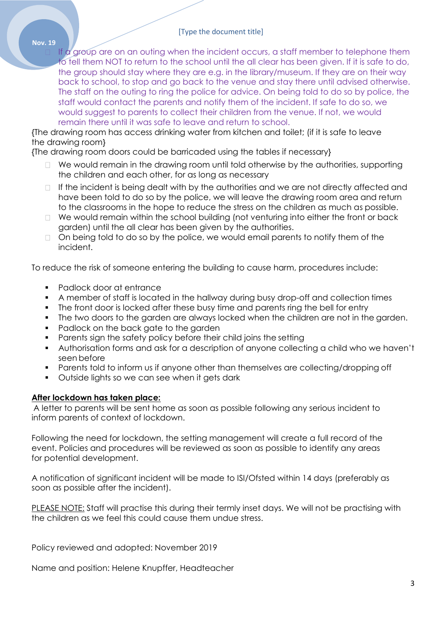#### [Type the document title]

If a group are on an outing when the incident occurs, a staff member to telephone them to tell them NOT to return to the school until the all clear has been given. If it is safe to do, the group should stay where they are e.g. in the library/museum. If they are on their way back to school, to stop and go back to the venue and stay there until advised otherwise. The staff on the outing to ring the police for advice. On being told to do so by police, the staff would contact the parents and notify them of the incident. If safe to do so, we would suggest to parents to collect their children from the venue. If not, we would remain there until it was safe to leave and return to school.

{The drawing room has access drinking water from kitchen and toilet; (if it is safe to leave the drawing room}

{The drawing room doors could be barricaded using the tables if necessary}

- □ We would remain in the drawing room until told otherwise by the authorities, supporting the children and each other, for as long as necessary
- $\Box$  If the incident is being dealt with by the authorities and we are not directly affected and have been told to do so by the police, we will leave the drawing room area and return to the classrooms in the hope to reduce the stress on the children as much as possible.
- $\Box$  We would remain within the school building (not venturing into either the front or back garden) until the all clear has been given by the authorities.
- □ On being told to do so by the police, we would email parents to notify them of the incident.

To reduce the risk of someone entering the building to cause harm, procedures include:

• Padlock door at entrance

**Nov. 19**

- A member of staff is located in the hallway during busy drop-off and collection times
- The front door is locked after these busy time and parents ring the bell for entry
- The two doors to the garden are always locked when the children are not in the garden.
- Padlock on the back gate to the garden
- Parents sign the safety policy before their child joins the setting
- Authorisation forms and ask for a description of anyone collecting a child who we haven't seen before
- Parents told to inform us if anyone other than themselves are collecting/dropping off
- **•** Outside lights so we can see when it gets dark

# **After lockdown has taken place:**

A letter to parents will be sent home as soon as possible following any serious incident to inform parents of context of lockdown.

Following the need for lockdown, the setting management will create a full record of the event. Policies and procedures will be reviewed as soon as possible to identify any areas for potential development.

A notification of significant incident will be made to ISI/Ofsted within 14 days (preferably as soon as possible after the incident).

PLEASE NOTE: Staff will practise this during their termly inset days. We will not be practising with the children as we feel this could cause them undue stress.

Policy reviewed and adopted: November 2019

Name and position: Helene Knupffer, Headteacher